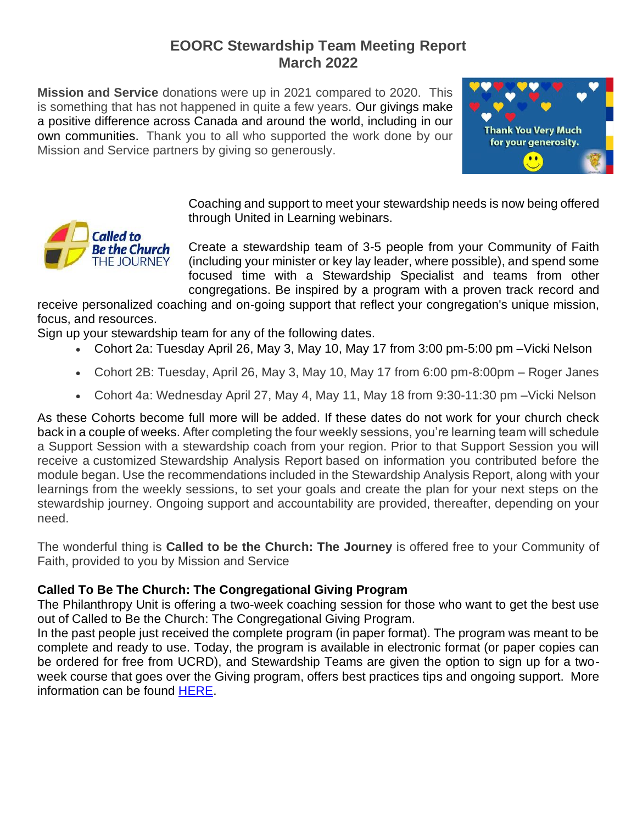## **EOORC Stewardship Team Meeting Report March 2022**

**Mission and Service** donations were up in 2021 compared to 2020. This is something that has not happened in quite a few years. Our givings make a positive difference across Canada and around the world, including in our own communities. Thank you to all who supported the work done by our Mission and Service partners by giving so generously.



Coaching and support to meet your stewardship needs is now being offered through United in Learning webinars.

Create a stewardship team of 3-5 people from your Community of Faith (including your minister or key lay leader, where possible), and spend some focused time with a Stewardship Specialist and teams from other congregations. Be inspired by a program with a proven track record and

receive personalized coaching and on-going support that reflect your congregation's unique mission, focus, and resources.

Sign up your stewardship team for any of the following dates.

- Cohort 2a: Tuesday April 26, May 3, May 10, May 17 from 3:00 pm-5:00 pm –Vicki Nelson
- Cohort 2B: Tuesday, April 26, May 3, May 10, May 17 from 6:00 pm-8:00pm Roger Janes
- Cohort 4a: Wednesday April 27, May 4, May 11, May 18 from 9:30-11:30 pm –Vicki Nelson

As these Cohorts become full more will be added. If these dates do not work for your church check back in a couple of weeks. After completing the four weekly sessions, you're learning team will schedule a Support Session with a stewardship coach from your region. Prior to that Support Session you will receive a customized Stewardship Analysis Report based on information you contributed before the module began. Use the recommendations included in the Stewardship Analysis Report, along with your learnings from the weekly sessions, to set your goals and create the plan for your next steps on the stewardship journey. Ongoing support and accountability are provided, thereafter, depending on your need.

The wonderful thing is **Called to be the Church: The Journey** is offered free to your Community of Faith, provided to you by Mission and Service

## **Called To Be The Church: The Congregational Giving Program**

The Philanthropy Unit is offering a two-week coaching session for those who want to get the best use out of Called to Be the Church: The Congregational Giving Program.

In the past people just received the complete program (in paper format). The program was meant to be complete and ready to use. Today, the program is available in electronic format (or paper copies can be ordered for free from UCRD), and Stewardship Teams are given the option to sign up for a twoweek course that goes over the Giving program, offers best practices tips and ongoing support. More information can be found [HERE.](https://united-church.ca/community-and-faith/get-involved/called-be-church-journey/congregational-giving-program-module-do-0)